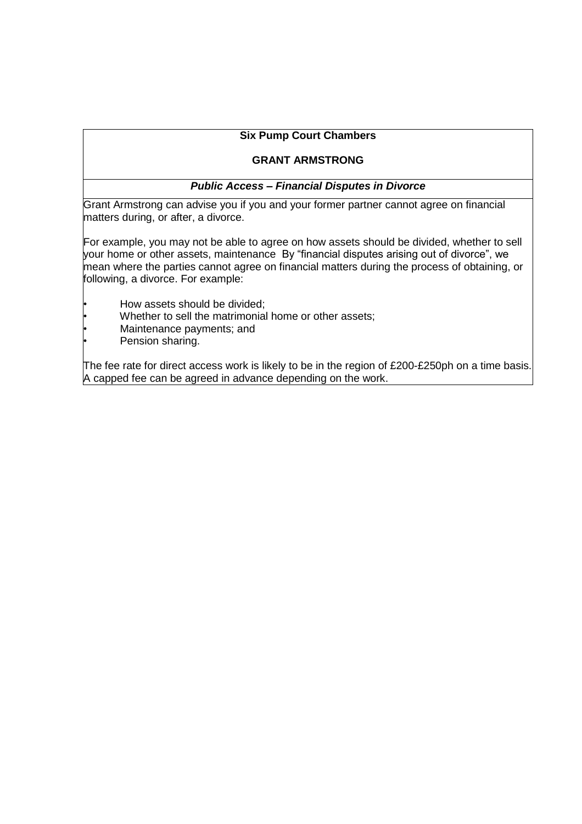## **Six Pump Court Chambers**

### **GRANT ARMSTRONG**

#### *Public Access – Financial Disputes in Divorce*

Grant Armstrong can advise you if you and your former partner cannot agree on financial matters during, or after, a divorce.

For example, you may not be able to agree on how assets should be divided, whether to sell your home or other assets, maintenance By "financial disputes arising out of divorce", we mean where the parties cannot agree on financial matters during the process of obtaining, or following, a divorce. For example:

- How assets should be divided;
- Whether to sell the matrimonial home or other assets;
- Maintenance payments; and
- Pension sharing.

The fee rate for direct access work is likely to be in the region of £200-£250ph on a time basis. A capped fee can be agreed in advance depending on the work.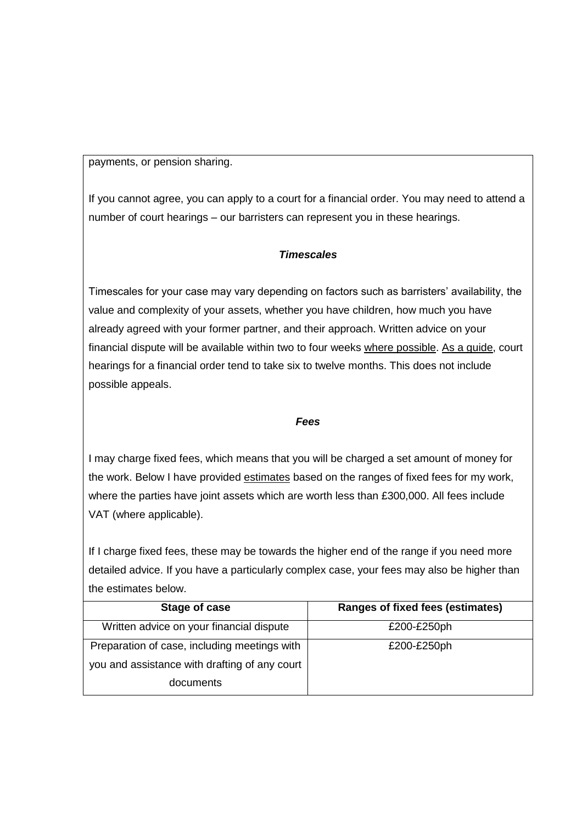payments, or pension sharing.

If you cannot agree, you can apply to a court for a financial order. You may need to attend a number of court hearings – our barristers can represent you in these hearings.

# *Timescales*

Timescales for your case may vary depending on factors such as barristers' availability, the value and complexity of your assets, whether you have children, how much you have already agreed with your former partner, and their approach. Written advice on your financial dispute will be available within two to four weeks where possible. As a guide, court hearings for a financial order tend to take six to twelve months. This does not include possible appeals.

# *Fees*

I may charge fixed fees, which means that you will be charged a set amount of money for the work. Below I have provided estimates based on the ranges of fixed fees for my work, where the parties have joint assets which are worth less than £300,000. All fees include VAT (where applicable).

If I charge fixed fees, these may be towards the higher end of the range if you need more detailed advice. If you have a particularly complex case, your fees may also be higher than the estimates below.

| Stage of case                                 | <b>Ranges of fixed fees (estimates)</b> |
|-----------------------------------------------|-----------------------------------------|
| Written advice on your financial dispute      | £200-£250ph                             |
| Preparation of case, including meetings with  | £200-£250ph                             |
| you and assistance with drafting of any court |                                         |
| documents                                     |                                         |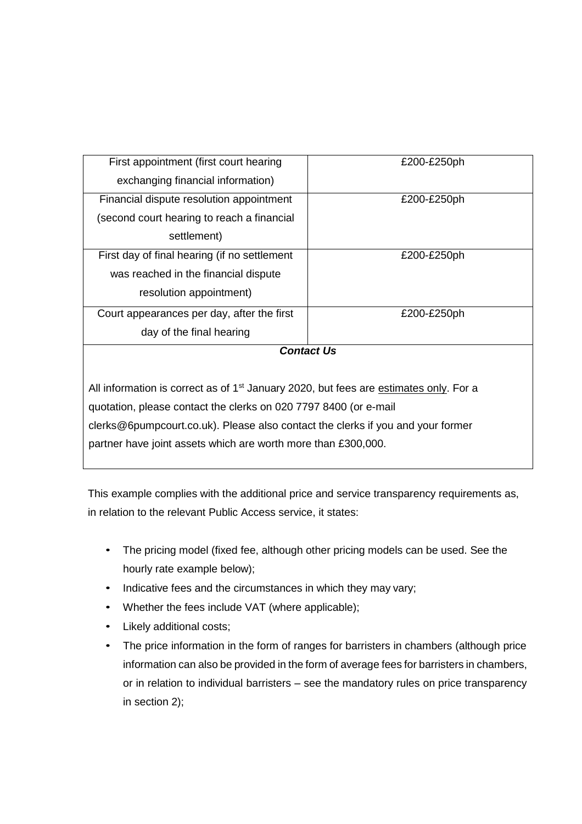| First appointment (first court hearing                                                            | £200-£250ph |  |
|---------------------------------------------------------------------------------------------------|-------------|--|
| exchanging financial information)                                                                 |             |  |
| Financial dispute resolution appointment                                                          | £200-£250ph |  |
| (second court hearing to reach a financial                                                        |             |  |
| settlement)                                                                                       |             |  |
| First day of final hearing (if no settlement                                                      | £200-£250ph |  |
| was reached in the financial dispute                                                              |             |  |
| resolution appointment)                                                                           |             |  |
| Court appearances per day, after the first                                                        | £200-£250ph |  |
| day of the final hearing                                                                          |             |  |
| <b>Contact Us</b>                                                                                 |             |  |
|                                                                                                   |             |  |
| All information is correct as of 1 <sup>st</sup> January 2020, but fees are estimates only. For a |             |  |
| quotation, please contact the clerks on 020 7797 8400 (or e-mail                                  |             |  |
| clerks@6pumpcourt.co.uk). Please also contact the clerks if you and your former                   |             |  |

partner have joint assets which are worth more than £300,000.

This example complies with the additional price and service transparency requirements as, in relation to the relevant Public Access service, it states:

- The pricing model (fixed fee, although other pricing models can be used. See the hourly rate example below);
- Indicative fees and the circumstances in which they may vary;
- Whether the fees include VAT (where applicable);
- Likely additional costs;
- The price information in the form of ranges for barristers in chambers (although price information can also be provided in the form of average fees for barristers in chambers, or in relation to individual barristers – see the mandatory rules on price transparency in section 2);